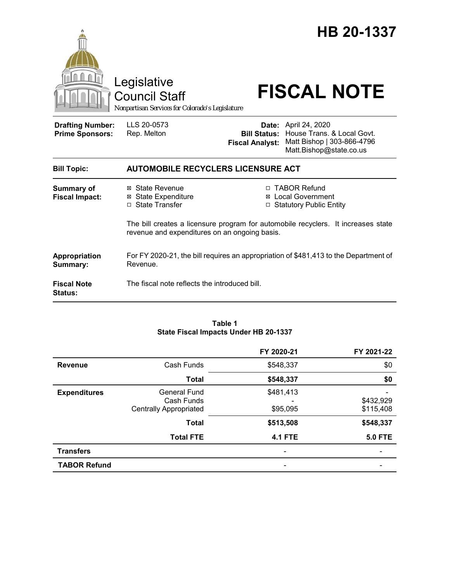|                                                   | Legislative<br><b>Council Staff</b><br>Nonpartisan Services for Colorado's Legislature                                                                   |                                               | HB 20-1337<br><b>FISCAL NOTE</b>                                                                                   |
|---------------------------------------------------|----------------------------------------------------------------------------------------------------------------------------------------------------------|-----------------------------------------------|--------------------------------------------------------------------------------------------------------------------|
| <b>Drafting Number:</b><br><b>Prime Sponsors:</b> | LLS 20-0573<br>Rep. Melton                                                                                                                               | <b>Bill Status:</b><br><b>Fiscal Analyst:</b> | <b>Date:</b> April 24, 2020<br>House Trans. & Local Govt.<br>Matt Bishop   303-866-4796<br>Matt.Bishop@state.co.us |
| <b>Bill Topic:</b>                                | <b>AUTOMOBILE RECYCLERS LICENSURE ACT</b>                                                                                                                |                                               |                                                                                                                    |
| <b>Summary of</b><br><b>Fiscal Impact:</b>        | <b>TABOR Refund</b><br>⊠ State Revenue<br>П<br><b>Local Government</b><br><b>State Expenditure</b><br>⊠<br>□ State Transfer<br>□ Statutory Public Entity |                                               |                                                                                                                    |
|                                                   | The bill creates a licensure program for automobile recyclers. It increases state<br>revenue and expenditures on an ongoing basis.                       |                                               |                                                                                                                    |
| Appropriation<br>Summary:                         | For FY 2020-21, the bill requires an appropriation of \$481,413 to the Department of<br>Revenue.                                                         |                                               |                                                                                                                    |
| <b>Fiscal Note</b><br><b>Status:</b>              | The fiscal note reflects the introduced bill.                                                                                                            |                                               |                                                                                                                    |

#### **Table 1 State Fiscal Impacts Under HB 20-1337**

|                     |                                                                    | FY 2020-21            | FY 2021-22             |
|---------------------|--------------------------------------------------------------------|-----------------------|------------------------|
| <b>Revenue</b>      | Cash Funds                                                         | \$548,337             | \$0                    |
|                     | <b>Total</b>                                                       | \$548,337             | \$0                    |
| <b>Expenditures</b> | <b>General Fund</b><br>Cash Funds<br><b>Centrally Appropriated</b> | \$481,413<br>\$95,095 | \$432,929<br>\$115,408 |
|                     | <b>Total</b>                                                       | \$513,508             | \$548,337              |
|                     | <b>Total FTE</b>                                                   | <b>4.1 FTE</b>        | <b>5.0 FTE</b>         |
| <b>Transfers</b>    |                                                                    | -                     |                        |
| <b>TABOR Refund</b> |                                                                    | -                     |                        |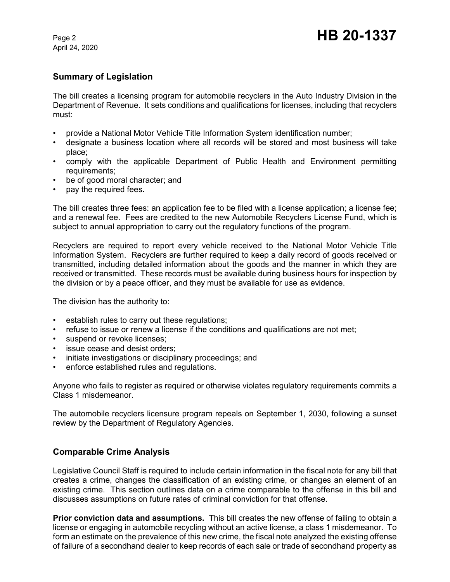## **Summary of Legislation**

The bill creates a licensing program for automobile recyclers in the Auto Industry Division in the Department of Revenue. It sets conditions and qualifications for licenses, including that recyclers must:

- provide a National Motor Vehicle Title Information System identification number;
- designate a business location where all records will be stored and most business will take place;
- comply with the applicable Department of Public Health and Environment permitting requirements;
- be of good moral character; and
- pay the required fees.

The bill creates three fees: an application fee to be filed with a license application; a license fee; and a renewal fee. Fees are credited to the new Automobile Recyclers License Fund, which is subject to annual appropriation to carry out the regulatory functions of the program.

Recyclers are required to report every vehicle received to the National Motor Vehicle Title Information System. Recyclers are further required to keep a daily record of goods received or transmitted, including detailed information about the goods and the manner in which they are received or transmitted. These records must be available during business hours for inspection by the division or by a peace officer, and they must be available for use as evidence.

The division has the authority to:

- establish rules to carry out these regulations;
- refuse to issue or renew a license if the conditions and qualifications are not met;
- suspend or revoke licenses;
- issue cease and desist orders;
- initiate investigations or disciplinary proceedings; and
- enforce established rules and regulations.

Anyone who fails to register as required or otherwise violates regulatory requirements commits a Class 1 misdemeanor.

The automobile recyclers licensure program repeals on September 1, 2030, following a sunset review by the Department of Regulatory Agencies.

# **Comparable Crime Analysis**

Legislative Council Staff is required to include certain information in the fiscal note for any bill that creates a crime, changes the classification of an existing crime, or changes an element of an existing crime. This section outlines data on a crime comparable to the offense in this bill and discusses assumptions on future rates of criminal conviction for that offense.

**Prior conviction data and assumptions.** This bill creates the new offense of failing to obtain a license or engaging in automobile recycling without an active license, a class 1 misdemeanor. To form an estimate on the prevalence of this new crime, the fiscal note analyzed the existing offense of failure of a secondhand dealer to keep records of each sale or trade of secondhand property as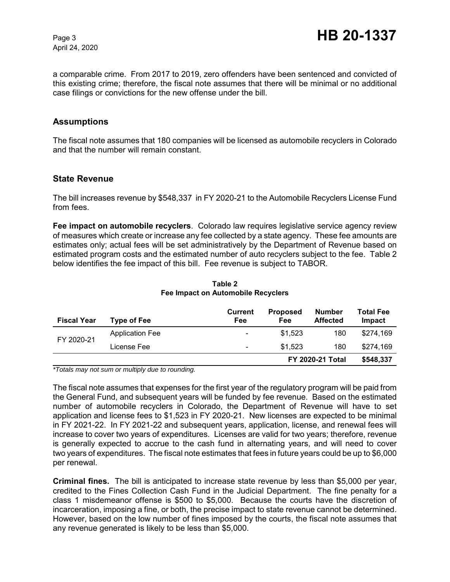a comparable crime. From 2017 to 2019, zero offenders have been sentenced and convicted of this existing crime; therefore, the fiscal note assumes that there will be minimal or no additional case filings or convictions for the new offense under the bill.

## **Assumptions**

The fiscal note assumes that 180 companies will be licensed as automobile recyclers in Colorado and that the number will remain constant.

## **State Revenue**

The bill increases revenue by \$548,337 in FY 2020-21 to the Automobile Recyclers License Fund from fees.

**Fee impact on automobile recyclers**. Colorado law requires legislative service agency review of measures which create or increase any fee collected by a state agency. These fee amounts are estimates only; actual fees will be set administratively by the Department of Revenue based on estimated program costs and the estimated number of auto recyclers subject to the fee. Table 2 below identifies the fee impact of this bill. Fee revenue is subject to TABOR.

| <b>Fiscal Year</b> | <b>Type of Fee</b>     | <b>Current</b><br>Fee    | <b>Proposed</b><br>Fee  | Number<br><b>Affected</b> | Total Fee<br>Impact |
|--------------------|------------------------|--------------------------|-------------------------|---------------------------|---------------------|
| FY 2020-21         | <b>Application Fee</b> | $\overline{\phantom{0}}$ | \$1.523                 | 180                       | \$274.169           |
|                    | License Fee            | $\overline{\phantom{0}}$ | \$1.523                 | 180                       | \$274.169           |
|                    |                        |                          | <b>FY 2020-21 Total</b> |                           | \$548,337           |

#### **Table 2 Fee Impact on Automobile Recyclers**

*\*Totals may not sum or multiply due to rounding.*

The fiscal note assumes that expenses for the first year of the regulatory program will be paid from the General Fund, and subsequent years will be funded by fee revenue. Based on the estimated number of automobile recyclers in Colorado, the Department of Revenue will have to set application and license fees to \$1,523 in FY 2020-21. New licenses are expected to be minimal in FY 2021-22. In FY 2021-22 and subsequent years, application, license, and renewal fees will increase to cover two years of expenditures. Licenses are valid for two years; therefore, revenue is generally expected to accrue to the cash fund in alternating years, and will need to cover two years of expenditures. The fiscal note estimates that fees in future years could be up to \$6,000 per renewal.

**Criminal fines.** The bill is anticipated to increase state revenue by less than \$5,000 per year, credited to the Fines Collection Cash Fund in the Judicial Department. The fine penalty for a class 1 misdemeanor offense is \$500 to \$5,000. Because the courts have the discretion of incarceration, imposing a fine, or both, the precise impact to state revenue cannot be determined. However, based on the low number of fines imposed by the courts, the fiscal note assumes that any revenue generated is likely to be less than \$5,000.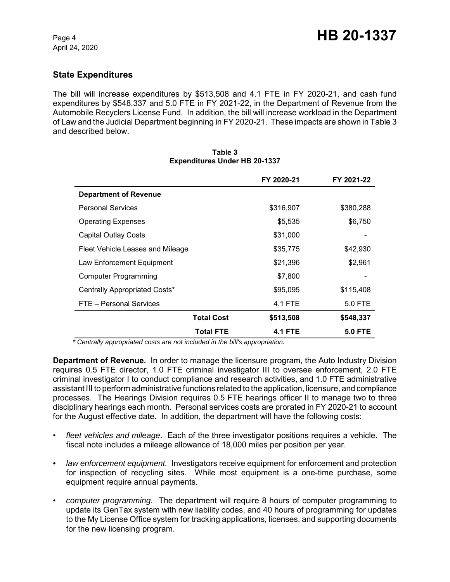## **State Expenditures**

The bill will increase expenditures by \$513,508 and 4.1 FTE in FY 2020-21, and cash fund expenditures by \$548,337 and 5.0 FTE in FY 2021-22, in the Department of Revenue from the Automobile Recyclers License Fund. In addition, the bill will increase workload in the Department of Law and the Judicial Department beginning in FY 2020-21. These impacts are shown in Table 3 and described below.

|                                  |                   | FY 2020-21     | FY 2021-22     |
|----------------------------------|-------------------|----------------|----------------|
| <b>Department of Revenue</b>     |                   |                |                |
| <b>Personal Services</b>         |                   | \$316,907      | \$380,288      |
| <b>Operating Expenses</b>        |                   | \$5,535        | \$6,750        |
| <b>Capital Outlay Costs</b>      |                   | \$31,000       |                |
| Fleet Vehicle Leases and Mileage |                   | \$35,775       | \$42,930       |
| Law Enforcement Equipment        |                   | \$21,396       | \$2,961        |
| Computer Programming             |                   | \$7,800        |                |
| Centrally Appropriated Costs*    |                   | \$95,095       | \$115,408      |
| FTE - Personal Services          |                   | 4.1 FTE        | 5.0 FTE        |
|                                  | <b>Total Cost</b> | \$513,508      | \$548,337      |
|                                  | <b>Total FTE</b>  | <b>4.1 FTE</b> | <b>5.0 FTE</b> |

#### **Table 3 Expenditures Under HB 20-1337**

 *\* Centrally appropriated costs are not included in the bill's appropriation.*

**Department of Revenue.** In order to manage the licensure program, the Auto Industry Division requires 0.5 FTE director, 1.0 FTE criminal investigator III to oversee enforcement, 2.0 FTE criminal investigator I to conduct compliance and research activities, and 1.0 FTE administrative assistant III to perform administrative functions related to the application, licensure, and compliance processes. The Hearings Division requires 0.5 FTE hearings officer II to manage two to three disciplinary hearings each month. Personal services costs are prorated in FY 2020-21 to account for the August effective date. In addition, the department will have the following costs:

- *fleet vehicles and mileage*. Each of the three investigator positions requires a vehicle. The fiscal note includes a mileage allowance of 18,000 miles per position per year.
- *law enforcement equipment.* Investigators receive equipment for enforcement and protection for inspection of recycling sites. While most equipment is a one-time purchase, some equipment require annual payments.
- *computer programming.* The department will require 8 hours of computer programming to update its GenTax system with new liability codes, and 40 hours of programming for updates to the My License Office system for tracking applications, licenses, and supporting documents for the new licensing program.